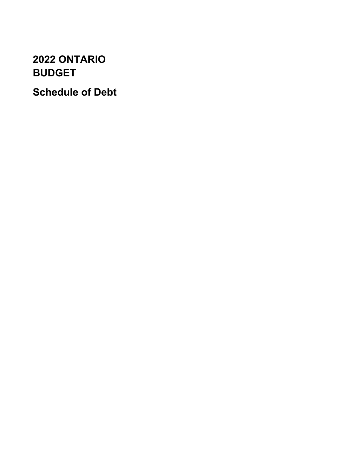# **2022 ONTARIO BUDGET**

**Schedule of Debt**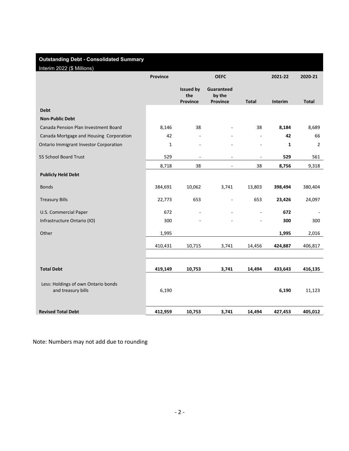# **Outstanding Debt - Consolidated Summary**

Interim 2022 (\$ Millions)

| 11011112022<br>minorio                                    | Province     |                                            | <b>OEFC</b>                      |              | 2021-22        | 2020-21        |
|-----------------------------------------------------------|--------------|--------------------------------------------|----------------------------------|--------------|----------------|----------------|
|                                                           |              | <b>Issued by</b><br>the<br><b>Province</b> | Guaranteed<br>by the<br>Province | <b>Total</b> | <b>Interim</b> | <b>Total</b>   |
| <b>Debt</b>                                               |              |                                            |                                  |              |                |                |
| <b>Non-Public Debt</b>                                    |              |                                            |                                  |              |                |                |
| Canada Pension Plan Investment Board                      | 8,146        | 38                                         |                                  | 38           | 8,184          | 8,689          |
| Canada Mortgage and Housing Corporation                   | 42           |                                            |                                  | ÷,           | 42             | 66             |
| <b>Ontario Immigrant Investor Corporation</b>             | $\mathbf{1}$ |                                            |                                  |              | $\mathbf{1}$   | $\overline{2}$ |
| 55 School Board Trust                                     | 529          | ÷,                                         | $\overline{\phantom{a}}$         | ÷,           | 529            | 561            |
|                                                           | 8,718        | 38                                         | $\blacksquare$                   | 38           | 8,756          | 9,318          |
| <b>Publicly Held Debt</b>                                 |              |                                            |                                  |              |                |                |
| <b>Bonds</b>                                              | 384,691      | 10,062                                     | 3,741                            | 13,803       | 398,494        | 380,404        |
| <b>Treasury Bills</b>                                     | 22,773       | 653                                        | $\overline{\phantom{a}}$         | 653          | 23,426         | 24,097         |
| U.S. Commercial Paper                                     | 672          |                                            |                                  | ÷,           | 672            |                |
| Infrastructure Ontario (IO)                               | 300          |                                            |                                  |              | 300            | 300            |
| Other                                                     | 1,995        |                                            |                                  |              | 1,995          | 2,016          |
|                                                           | 410,431      | 10,715                                     | 3,741                            | 14,456       | 424,887        | 406,817        |
|                                                           |              |                                            |                                  |              |                |                |
| <b>Total Debt</b>                                         | 419,149      | 10,753                                     | 3,741                            | 14,494       | 433,643        | 416,135        |
| Less: Holdings of own Ontario bonds<br>and treasury bills | 6,190        |                                            |                                  |              | 6,190          | 11,123         |
| <b>Revised Total Debt</b>                                 | 412,959      | 10,753                                     | 3,741                            | 14,494       | 427,453        | 405,012        |

Note: Numbers may not add due to rounding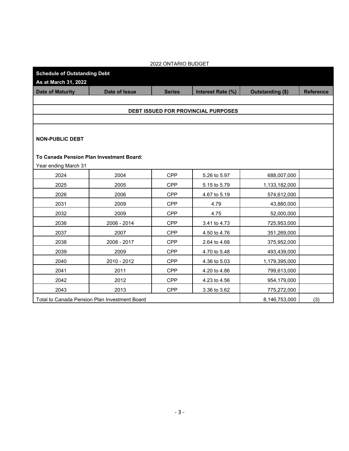| 2022 ONTARIO BUDGET                 |                                               |               |                                     |                  |                  |  |  |  |
|-------------------------------------|-----------------------------------------------|---------------|-------------------------------------|------------------|------------------|--|--|--|
| <b>Schedule of Outstanding Debt</b> |                                               |               |                                     |                  |                  |  |  |  |
| As at March 31, 2022                |                                               |               |                                     |                  |                  |  |  |  |
| <b>Date of Maturity</b>             | Date of Issue                                 | <b>Series</b> | Interest Rate (%)                   | Outstanding (\$) | <b>Reference</b> |  |  |  |
|                                     |                                               |               |                                     |                  |                  |  |  |  |
|                                     |                                               |               | DEBT ISSUED FOR PROVINCIAL PURPOSES |                  |                  |  |  |  |
|                                     |                                               |               |                                     |                  |                  |  |  |  |
|                                     |                                               |               |                                     |                  |                  |  |  |  |
| <b>NON-PUBLIC DEBT</b>              |                                               |               |                                     |                  |                  |  |  |  |
|                                     |                                               |               |                                     |                  |                  |  |  |  |
|                                     | To Canada Pension Plan Investment Board:      |               |                                     |                  |                  |  |  |  |
| Year ending March 31                |                                               |               |                                     |                  |                  |  |  |  |
| 2024                                | 2004                                          | <b>CPP</b>    | 5.26 to 5.97                        | 688,007,000      |                  |  |  |  |
| 2025                                | 2005                                          | <b>CPP</b>    | 5.15 to 5.79                        | 1,133,182,000    |                  |  |  |  |
| 2026                                | 2006                                          | <b>CPP</b>    | 4.67 to 5.19                        | 574,612,000      |                  |  |  |  |
| 2031                                | 2009                                          | <b>CPP</b>    | 4.79                                | 43,880,000       |                  |  |  |  |
| 2032                                | 2009                                          | <b>CPP</b>    | 4.75                                | 52,000,000       |                  |  |  |  |
| 2036                                | 2006 - 2014                                   | <b>CPP</b>    | 3.41 to 4.73                        | 725,953,000      |                  |  |  |  |
| 2037                                | 2007                                          | <b>CPP</b>    | 4.50 to 4.76                        | 351,269,000      |                  |  |  |  |
| 2038                                | 2008 - 2017                                   | <b>CPP</b>    | 2.64 to 4.68                        | 375,952,000      |                  |  |  |  |
| 2039                                | 2009                                          | <b>CPP</b>    | 4.70 to 5.48                        | 493,439,000      |                  |  |  |  |
| 2040                                | 2010 - 2012                                   | <b>CPP</b>    | 4.36 to 5.03                        | 1,179,395,000    |                  |  |  |  |
| 2041                                | 2011                                          | <b>CPP</b>    | 4.20 to 4.86                        | 799,613,000      |                  |  |  |  |
| 2042                                | 2012                                          | <b>CPP</b>    | 4.23 to 4.56                        | 954,179,000      |                  |  |  |  |
| 2043                                | 2013                                          | <b>CPP</b>    | 3.36 to 3.62                        | 775,272,000      |                  |  |  |  |
|                                     | Total to Canada Pension Plan Investment Board |               |                                     | 8,146,753,000    | (3)              |  |  |  |

 $-3-$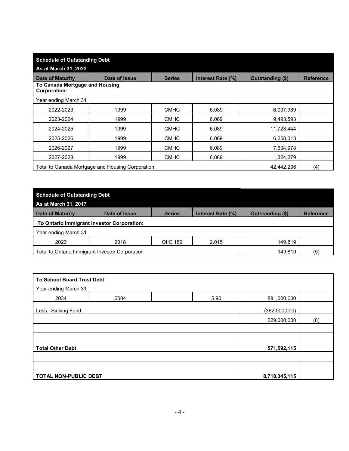| <b>Schedule of Outstanding Debt</b>                   |                                                                |               |                   |                  |                  |  |  |
|-------------------------------------------------------|----------------------------------------------------------------|---------------|-------------------|------------------|------------------|--|--|
| As at March 31, 2022                                  |                                                                |               |                   |                  |                  |  |  |
| <b>Date of Maturity</b>                               | Date of Issue                                                  | <b>Series</b> | Interest Rate (%) | Outstanding (\$) | <b>Reference</b> |  |  |
| To Canada Mortgage and Housing<br><b>Corporation:</b> |                                                                |               |                   |                  |                  |  |  |
| Year ending March 31                                  |                                                                |               |                   |                  |                  |  |  |
| 2022-2023                                             | 1999                                                           | <b>CMHC</b>   | 6.089             | 6,037,989        |                  |  |  |
| 2023-2024                                             | 1999                                                           | <b>CMHC</b>   | 6.089             | 9,493,593        |                  |  |  |
| 2024-2025                                             | 1999                                                           | <b>CMHC</b>   | 6.089             | 11,723,444       |                  |  |  |
| 2025-2026                                             | 1999                                                           | <b>CMHC</b>   | 6.089             | 6,258,013        |                  |  |  |
| 2026-2027                                             | 1999                                                           | <b>CMHC</b>   | 6.089             | 7,604,978        |                  |  |  |
| 2027-2028                                             | 1999                                                           | <b>CMHC</b>   | 6.089             | 1,324,279        |                  |  |  |
|                                                       | Total to Canada Mortgage and Housing Corporation<br>42,442,296 |               |                   |                  |                  |  |  |

| <b>Schedule of Outstanding Debt</b><br>As at March 31, 2017 |                                            |                 |                   |                         |                  |
|-------------------------------------------------------------|--------------------------------------------|-----------------|-------------------|-------------------------|------------------|
| <b>Date of Maturity</b>                                     | Date of Issue                              | <b>Series</b>   | Interest Rate (%) | <b>Outstanding (\$)</b> | <b>Reference</b> |
|                                                             | To Ontario Immigrant Investor Corporation: |                 |                   |                         |                  |
| Year ending March 31                                        |                                            |                 |                   |                         |                  |
| 2023                                                        | 2018                                       | <b>OIIC 189</b> | 2.015             | 149,819                 |                  |
| Total to Ontario Immigrant Investor Corporation<br>149,819  |                                            |                 |                   |                         |                  |

| To School Board Trust Debt:<br>Year ending March 31 |      |  |      |               |     |
|-----------------------------------------------------|------|--|------|---------------|-----|
|                                                     |      |  |      |               |     |
| 2034                                                | 2004 |  | 5.90 | 891,000,000   |     |
| Less: Sinking Fund                                  |      |  |      | (362,000,000) |     |
|                                                     |      |  |      | 529,000,000   | (6) |
|                                                     |      |  |      |               |     |
|                                                     |      |  |      |               |     |
| <b>Total Other Debt</b>                             |      |  |      | 571,592,115   |     |
|                                                     |      |  |      |               |     |
|                                                     |      |  |      |               |     |
| TOTAL NON-PUBLIC DEBT<br>8,718,345,115              |      |  |      |               |     |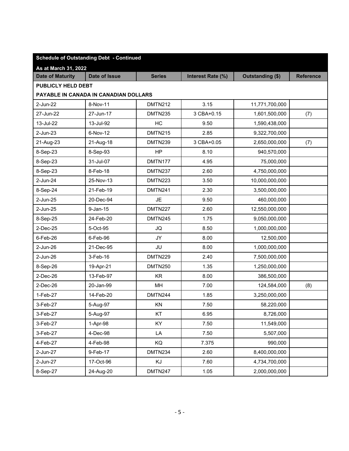| <b>Schedule of Outstanding Debt - Continued</b> |                                       |                |                   |                  |                  |  |  |  |  |  |
|-------------------------------------------------|---------------------------------------|----------------|-------------------|------------------|------------------|--|--|--|--|--|
| As at March 31, 2022                            |                                       |                |                   |                  |                  |  |  |  |  |  |
| <b>Date of Maturity</b>                         | <b>Date of Issue</b>                  | <b>Series</b>  | Interest Rate (%) | Outstanding (\$) | <b>Reference</b> |  |  |  |  |  |
|                                                 | PUBLICLY HELD DEBT                    |                |                   |                  |                  |  |  |  |  |  |
|                                                 | PAYABLE IN CANADA IN CANADIAN DOLLARS |                |                   |                  |                  |  |  |  |  |  |
| 2-Jun-22                                        | 8-Nov-11                              | <b>DMTN212</b> | 3.15              | 11,771,700,000   |                  |  |  |  |  |  |
| 27-Jun-22                                       | 27-Jun-17                             | DMTN235        | 3 CBA+0.15        | 1,601,500,000    | (7)              |  |  |  |  |  |
| 13-Jul-22                                       | 13-Jul-92                             | HC             | 9.50              | 1,590,438,000    |                  |  |  |  |  |  |
| 2-Jun-23                                        | 6-Nov-12                              | <b>DMTN215</b> | 2.85              | 9,322,700,000    |                  |  |  |  |  |  |
| 21-Aug-23                                       | 21-Aug-18                             | DMTN239        | 3 CBA+0.05        | 2,650,000,000    | (7)              |  |  |  |  |  |
| 8-Sep-23                                        | 8-Sep-93                              | HP             | 8.10              | 940,570,000      |                  |  |  |  |  |  |
| 8-Sep-23                                        | 31-Jul-07                             | DMTN177        | 4.95              | 75,000,000       |                  |  |  |  |  |  |
| 8-Sep-23                                        | 8-Feb-18                              | DMTN237        | 2.60              | 4,750,000,000    |                  |  |  |  |  |  |
| 2-Jun-24                                        | 25-Nov-13                             | <b>DMTN223</b> | 3.50              | 10,000,000,000   |                  |  |  |  |  |  |
| 8-Sep-24                                        | 21-Feb-19                             | <b>DMTN241</b> | 2.30              | 3,500,000,000    |                  |  |  |  |  |  |
| 2-Jun-25                                        | 20-Dec-94                             | JE             | 9.50              | 460,000,000      |                  |  |  |  |  |  |
| 2-Jun-25                                        | $9$ -Jan-15                           | <b>DMTN227</b> | 2.60              | 12,550,000,000   |                  |  |  |  |  |  |
| 8-Sep-25                                        | 24-Feb-20                             | DMTN245        | 1.75              | 9,050,000,000    |                  |  |  |  |  |  |
| 2-Dec-25                                        | 5-Oct-95                              | JQ             | 8.50              | 1,000,000,000    |                  |  |  |  |  |  |
| $6$ -Feb-26                                     | 6-Feb-96                              | JY             | 8.00              | 12,500,000       |                  |  |  |  |  |  |
| 2-Jun-26                                        | 21-Dec-95                             | JU             | 8.00              | 1,000,000,000    |                  |  |  |  |  |  |
| 2-Jun-26                                        | 3-Feb-16                              | <b>DMTN229</b> | 2.40              | 7,500,000,000    |                  |  |  |  |  |  |
| 8-Sep-26                                        | 19-Apr-21                             | <b>DMTN250</b> | 1.35              | 1,250,000,000    |                  |  |  |  |  |  |
| 2-Dec-26                                        | 13-Feb-97                             | <b>KR</b>      | 8.00              | 386,500,000      |                  |  |  |  |  |  |
| $2$ -Dec-26                                     | 20-Jan-99                             | MH             | 7.00              | 124,584,000      | (8)              |  |  |  |  |  |
| 1-Feb-27                                        | 14-Feb-20                             | DMTN244        | 1.85              | 3,250,000,000    |                  |  |  |  |  |  |
| 3-Feb-27                                        | 5-Aug-97                              | KN             | 7.50              | 58,220,000       |                  |  |  |  |  |  |
| 3-Feb-27                                        | 5-Aug-97                              | KT             | 6.95              | 8,726,000        |                  |  |  |  |  |  |
| 3-Feb-27                                        | 1-Apr-98                              | KY             | 7.50              | 11,549,000       |                  |  |  |  |  |  |
| 3-Feb-27                                        | 4-Dec-98                              | LA             | 7.50              | 5,507,000        |                  |  |  |  |  |  |
| 4-Feb-27                                        | 4-Feb-98                              | KQ             | 7.375             | 990,000          |                  |  |  |  |  |  |
| 2-Jun-27                                        | 9-Feb-17                              | DMTN234        | 2.60              | 8,400,000,000    |                  |  |  |  |  |  |
| 2-Jun-27                                        | 17-Oct-96                             | KJ             | 7.60              | 4,734,700,000    |                  |  |  |  |  |  |
| 8-Sep-27                                        | 24-Aug-20                             | DMTN247        | 1.05              | 2,000,000,000    |                  |  |  |  |  |  |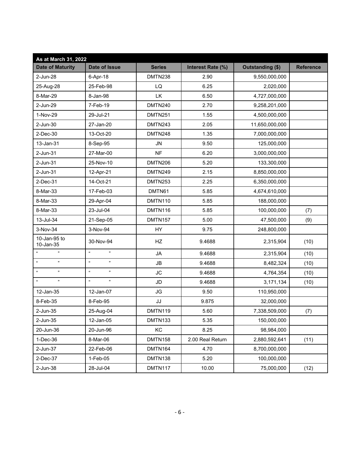| As at March 31, 2022                          |                                   |                |                   |                  |                  |
|-----------------------------------------------|-----------------------------------|----------------|-------------------|------------------|------------------|
| <b>Date of Maturity</b>                       | <b>Date of Issue</b>              | <b>Series</b>  | Interest Rate (%) | Outstanding (\$) | <b>Reference</b> |
| 2-Jun-28                                      | 6-Apr-18                          | DMTN238        | 2.90              | 9,550,000,000    |                  |
| 25-Aug-28                                     | 25-Feb-98                         | LQ             | 6.25              | 2,020,000        |                  |
| 8-Mar-29                                      | 8-Jan-98                          | <b>LK</b>      | 6.50              | 4,727,000,000    |                  |
| 2-Jun-29                                      | 7-Feb-19                          | DMTN240        | 2.70              | 9,258,201,000    |                  |
| 1-Nov-29                                      | 29-Jul-21                         | DMTN251        | 1.55              | 4,500,000,000    |                  |
| 2-Jun-30                                      | 27-Jan-20                         | DMTN243        | 2.05              | 11,650,000,000   |                  |
| 2-Dec-30                                      | 13-Oct-20                         | DMTN248        | 1.35              | 7,000,000,000    |                  |
| 13-Jan-31                                     | 8-Sep-95                          | <b>JN</b>      | 9.50              | 125,000,000      |                  |
| 2-Jun-31                                      | 27-Mar-00                         | <b>NF</b>      | 6.20              | 3,000,000,000    |                  |
| 2-Jun-31                                      | 25-Nov-10                         | <b>DMTN206</b> | 5.20              | 133,300,000      |                  |
| 2-Jun-31                                      | 12-Apr-21                         | <b>DMTN249</b> | 2.15              | 8,850,000,000    |                  |
| 2-Dec-31                                      | 14-Oct-21                         | DMTN253        | 2.25              | 6,350,000,000    |                  |
| 8-Mar-33                                      | 17-Feb-03                         | DMTN61         | 5.85              | 4,674,610,000    |                  |
| 8-Mar-33                                      | 29-Apr-04                         | DMTN110        | 5.85              | 188,000,000      |                  |
| 8-Mar-33                                      | 23-Jul-04                         | DMTN116        | 5.85              | 100,000,000      | (7)              |
| 13-Jul-34                                     | 21-Sep-05                         | DMTN157        | 5.00              | 47,500,000       | (9)              |
| 3-Nov-34                                      | 3-Nov-94                          | HY             | 9.75              | 248,800,000      |                  |
| 10-Jan-95 to<br>10-Jan-35                     | 30-Nov-94                         | HZ             | 9.4688            | 2,315,904        | (10)             |
| ,,<br>$\mathfrak{c}\mathfrak{c}$              | $\boldsymbol{\mu}$<br>,,          | JA             | 9.4688            | 2,315,904        | (10)             |
| $\boldsymbol{\mu}$<br>$\pmb{\mathfrak{y}}$    | $\alpha$<br>,,                    | JB             | 9.4688            | 8,482,324        | (10)             |
| $\boldsymbol{\alpha}$<br>$\pmb{\mathfrak{y}}$ | $\boldsymbol{\mu}$<br>n           | <b>JC</b>      | 9.4688            | 4,764,354        | (10)             |
| $\alpha$<br>,,                                | $\boldsymbol{\mathfrak{u}}$<br>,, | <b>JD</b>      | 9.4688            | 3,171,134        | (10)             |
| 12-Jan-35                                     | 12-Jan-07                         | JG             | 9.50              | 110,950,000      |                  |
| 8-Feb-35                                      | 8-Feb-95                          | JJ             | 9.875             | 32,000,000       |                  |
| 2-Jun-35                                      | 25-Aug-04                         | DMTN119        | 5.60              | 7,338,509,000    | (7)              |
| 2-Jun-35                                      | $12$ -Jan-05                      | DMTN133        | 5.35              | 150,000,000      |                  |
| 20-Jun-36                                     | 20-Jun-96                         | KC             | 8.25              | 98,984,000       |                  |
| $1-Dec-36$                                    | 8-Mar-06                          | DMTN158        | 2.00 Real Return  | 2,880,592,641    | (11)             |
| 2-Jun-37                                      | 22-Feb-06                         | DMTN164        | 4.70              | 8,700,000,000    |                  |
| 2-Dec-37                                      | $1-Feb-05$                        | DMTN138        | 5.20              | 100,000,000      |                  |
| 2-Jun-38                                      | 28-Jul-04                         | DMTN117        | 10.00             | 75,000,000       | (12)             |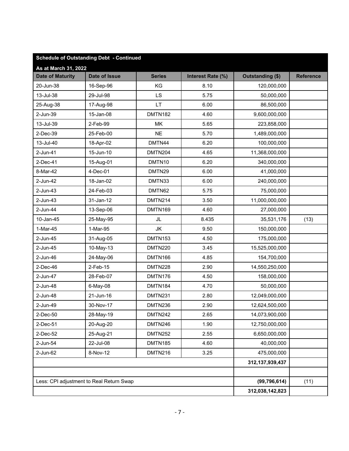| <b>Schedule of Outstanding Debt - Continued</b> |                                          |                |                   |                    |                  |  |  |
|-------------------------------------------------|------------------------------------------|----------------|-------------------|--------------------|------------------|--|--|
| As at March 31, 2022                            |                                          |                |                   |                    |                  |  |  |
| <b>Date of Maturity</b>                         | <b>Date of Issue</b>                     | <b>Series</b>  | Interest Rate (%) | Outstanding (\$)   | <b>Reference</b> |  |  |
| 20-Jun-38                                       | 16-Sep-96                                | KG             | 8.10              | 120,000,000        |                  |  |  |
| 13-Jul-38                                       | 29-Jul-98                                | LS             | 5.75              | 50,000,000         |                  |  |  |
| 25-Aug-38                                       | 17-Aug-98                                | <b>LT</b>      | 6.00              | 86,500,000         |                  |  |  |
| 2-Jun-39                                        | 15-Jan-08                                | DMTN182        | 4.60              | 9,600,000,000      |                  |  |  |
| 13-Jul-39                                       | 2-Feb-99                                 | MK             | 5.65              | 223,858,000        |                  |  |  |
| 2-Dec-39                                        | 25-Feb-00                                | <b>NE</b>      | 5.70              | 1,489,000,000      |                  |  |  |
| 13-Jul-40                                       | 18-Apr-02                                | DMTN44         | 6.20              | 100,000,000        |                  |  |  |
| 2-Jun-41                                        | 15-Jun-10                                | DMTN204        | 4.65              | 11,368,000,000     |                  |  |  |
| 2-Dec-41                                        | 15-Aug-01                                | DMTN10         | 6.20              | 340,000,000        |                  |  |  |
| 8-Mar-42                                        | $4-Dec-01$                               | DMTN29         | 6.00              | 41,000,000         |                  |  |  |
| $2$ -Jun-42                                     | 18-Jan-02                                | DMTN33         | 6.00              | 240,000,000        |                  |  |  |
| $2$ -Jun-43                                     | 24-Feb-03                                | DMTN62         | 5.75              | 75,000,000         |                  |  |  |
| 2-Jun-43                                        | 31-Jan-12                                | <b>DMTN214</b> | 3.50              | 11,000,000,000     |                  |  |  |
| 2-Jun-44                                        | 13-Sep-06                                | <b>DMTN169</b> | 4.60              | 27,000,000         |                  |  |  |
| 10-Jan-45                                       | 25-May-95                                | JL             | 8.435             | 35,531,176         | (13)             |  |  |
| 1-Mar-45                                        | 1-Mar-95                                 | JK             | 9.50              | 150,000,000        |                  |  |  |
| $2$ -Jun-45                                     | 31-Aug-05                                | <b>DMTN153</b> | 4.50              | 175,000,000        |                  |  |  |
| $2$ -Jun-45                                     | 10-May-13                                | <b>DMTN220</b> | 3.45              | 15,525,000,000     |                  |  |  |
| 2-Jun-46                                        | 24-May-06                                | DMTN166        | 4.85              | 154,700,000        |                  |  |  |
| $2$ -Dec-46                                     | 2-Feb-15                                 | DMTN228        | 2.90              | 14,550,250,000     |                  |  |  |
| 2-Jun-47                                        | 28-Feb-07                                | DMTN176        | 4.50              | 158,000,000        |                  |  |  |
| 2-Jun-48                                        | 6-May-08                                 | DMTN184        | 4.70              | 50,000,000         |                  |  |  |
| 2-Jun-48                                        | 21-Jun-16                                | DMTN231        | 2.80              | 12,049,000,000     |                  |  |  |
| 2-Jun-49                                        | 30-Nov-17                                | DMTN236        | 2.90              | 12,624,500,000     |                  |  |  |
| 2-Dec-50                                        | 28-May-19                                | DMTN242        | 2.65              | 14,073,900,000     |                  |  |  |
| 2-Dec-51                                        | 20-Aug-20                                | DMTN246        | 1.90              | 12,750,000,000     |                  |  |  |
| 2-Dec-52                                        | 25-Aug-21                                | DMTN252        | 2.55              | 6,650,000,000      |                  |  |  |
| 2-Jun-54                                        | 22-Jul-08                                | DMTN185        | 4.60              | 40,000,000         |                  |  |  |
| 2-Jun-62                                        | 8-Nov-12                                 | <b>DMTN216</b> | 3.25              | 475,000,000        |                  |  |  |
|                                                 |                                          |                |                   | 312, 137, 939, 437 |                  |  |  |
|                                                 |                                          |                |                   |                    |                  |  |  |
|                                                 | Less: CPI adjustment to Real Return Swap |                |                   | (99, 796, 614)     | (11)             |  |  |
|                                                 |                                          |                |                   | 312,038,142,823    |                  |  |  |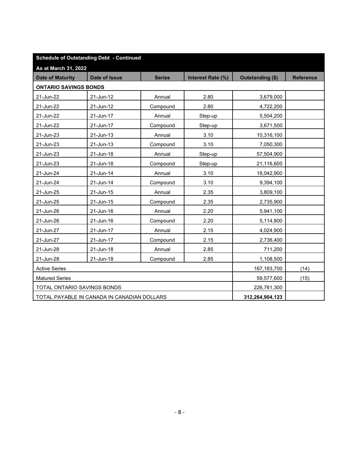| <b>Schedule of Outstanding Debt - Continued</b> |                                             |               |                   |                  |                  |  |  |  |
|-------------------------------------------------|---------------------------------------------|---------------|-------------------|------------------|------------------|--|--|--|
| As at March 31, 2022                            |                                             |               |                   |                  |                  |  |  |  |
| <b>Date of Maturity</b>                         | Date of Issue                               | <b>Series</b> | Interest Rate (%) | Outstanding (\$) | <b>Reference</b> |  |  |  |
| <b>ONTARIO SAVINGS BONDS</b>                    |                                             |               |                   |                  |                  |  |  |  |
| 21-Jun-22                                       | 21-Jun-12                                   | Annual        | 2.80              | 3,679,000        |                  |  |  |  |
| 21-Jun-22                                       | 21-Jun-12                                   | Compound      | 2.80              | 4,722,200        |                  |  |  |  |
| 21-Jun-22                                       | 21-Jun-17                                   | Annual        | Step-up           | 5,504,200        |                  |  |  |  |
| 21-Jun-22                                       | 21-Jun-17                                   | Compound      | Step-up           | 3,671,500        |                  |  |  |  |
| 21-Jun-23                                       | 21-Jun-13                                   | Annual        | 3.10              | 10,316,100       |                  |  |  |  |
| 21-Jun-23                                       | 21-Jun-13                                   | Compound      | 3.10              | 7,050,300        |                  |  |  |  |
| 21-Jun-23                                       | 21-Jun-18                                   | Annual        | Step-up           | 57,504,900       |                  |  |  |  |
| 21-Jun-23                                       | 21-Jun-18                                   | Compound      | Step-up           | 21,116,600       |                  |  |  |  |
| 21-Jun-24                                       | 21-Jun-14                                   | Annual        | 3.10              | 18,042,900       |                  |  |  |  |
| 21-Jun-24                                       | 21-Jun-14                                   | Compound      | 3.10              | 9,394,100        |                  |  |  |  |
| 21-Jun-25                                       | 21-Jun-15                                   | Annual        | 2.35              | 3,809,100        |                  |  |  |  |
| 21-Jun-25                                       | 21-Jun-15                                   | Compound      | 2.35              | 2,735,900        |                  |  |  |  |
| 21-Jun-26                                       | 21-Jun-16                                   | Annual        | 2.20              | 5,941,100        |                  |  |  |  |
| 21-Jun-26                                       | 21-Jun-16                                   | Compound      | 2.20              | 5,114,800        |                  |  |  |  |
| 21-Jun-27                                       | 21-Jun-17                                   | Annual        | 2.15              | 4,024,900        |                  |  |  |  |
| 21-Jun-27                                       | 21-Jun-17                                   | Compound      | 2.15              | 2,736,400        |                  |  |  |  |
| 21-Jun-28                                       | 21-Jun-18                                   | Annual        | 2.85              | 711,200          |                  |  |  |  |
| 21-Jun-28                                       | 21-Jun-18                                   | Compound      | 2.85              | 1,108,500        |                  |  |  |  |
| <b>Active Series</b>                            |                                             | 167,183,700   | (14)              |                  |                  |  |  |  |
| <b>Matured Series</b>                           |                                             | 59,577,600    | (15)              |                  |                  |  |  |  |
|                                                 | TOTAL ONTARIO SAVINGS BONDS                 |               |                   |                  |                  |  |  |  |
|                                                 | TOTAL PAYABLE IN CANADA IN CANADIAN DOLLARS |               |                   | 312,264,904,123  |                  |  |  |  |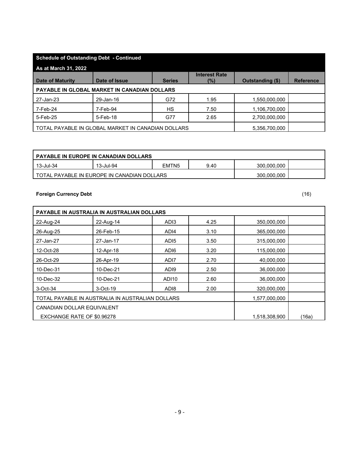| <b>Schedule of Outstanding Debt - Continued</b>                     |                                              |               |                                |                         |                  |  |  |  |  |
|---------------------------------------------------------------------|----------------------------------------------|---------------|--------------------------------|-------------------------|------------------|--|--|--|--|
| <b>As at March 31, 2022</b>                                         |                                              |               |                                |                         |                  |  |  |  |  |
| <b>Date of Maturity</b>                                             | Date of Issue                                | <b>Series</b> | <b>Interest Rate</b><br>$(\%)$ | <b>Outstanding (\$)</b> | <b>Reference</b> |  |  |  |  |
|                                                                     | PAYABLE IN GLOBAL MARKET IN CANADIAN DOLLARS |               |                                |                         |                  |  |  |  |  |
| 27-Jan-23                                                           | 29-Jan-16                                    | G72           | 1.95                           | 1,550,000,000           |                  |  |  |  |  |
| 7-Feb-24                                                            | 7-Feb-94                                     | HS.           | 7.50                           | 1,106,700,000           |                  |  |  |  |  |
| 5-Feb-25                                                            | 5-Feb-18                                     | G77           | 2.65                           | 2,700,000,000           |                  |  |  |  |  |
| TOTAL PAYABLE IN GLOBAL MARKET IN CANADIAN DOLLARS<br>5,356,700,000 |                                              |               |                                |                         |                  |  |  |  |  |

| I PAYABLE IN EUROPE IN CANADIAN DOLLARS. |                                               |                   |      |             |  |  |  |  |
|------------------------------------------|-----------------------------------------------|-------------------|------|-------------|--|--|--|--|
| 13-Jul-34                                | 13-Jul-94                                     | EMTN <sub>5</sub> | 9.40 | 300.000.000 |  |  |  |  |
|                                          | I TOTAL PAYABLE IN EUROPE IN CANADIAN DOLLARS |                   |      | 300.000.000 |  |  |  |  |

## **Foreign Currency Debt** (16)

| PAYABLE IN AUSTRALIA IN AUSTRALIAN DOLLARS       |               |                   |      |               |       |  |  |  |
|--------------------------------------------------|---------------|-------------------|------|---------------|-------|--|--|--|
| 22-Aug-24                                        | 22-Aug-14     | AD <sub>13</sub>  | 4.25 | 350,000,000   |       |  |  |  |
| 26-Aug-25                                        | 26-Feb-15     | AD <sub>14</sub>  | 3.10 | 365,000,000   |       |  |  |  |
| 27-Jan-27                                        | 27-Jan-17     | AD <sub>15</sub>  | 3.50 | 315,000,000   |       |  |  |  |
| 12-Oct-28                                        | 12-Apr-18     | ADI6              | 3.20 | 115,000,000   |       |  |  |  |
| 26-Oct-29                                        | 26-Apr-19     | ADI7              | 2.70 | 40,000,000    |       |  |  |  |
| 10-Dec-31                                        | 10-Dec-21     | AD <sub>19</sub>  | 2.50 | 36,000,000    |       |  |  |  |
| 10-Dec-32                                        | 10-Dec-21     | ADI <sub>10</sub> | 2.60 | 36,000,000    |       |  |  |  |
| 3-Oct-34                                         | 3-Oct-19      | AD <sub>18</sub>  | 2.00 | 320,000,000   |       |  |  |  |
| TOTAL PAYABLE IN AUSTRALIA IN AUSTRALIAN DOLLARS | 1,577,000,000 |                   |      |               |       |  |  |  |
| <b>CANADIAN DOLLAR EQUIVALENT</b>                |               |                   |      |               |       |  |  |  |
| EXCHANGE RATE OF \$0.96278                       |               |                   |      | 1,518,308,900 | (16a) |  |  |  |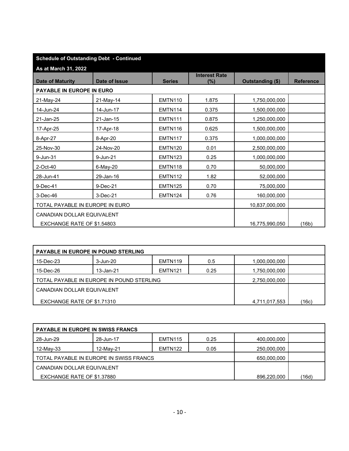| <b>Schedule of Outstanding Debt - Continued</b> |               |                |                                |                  |                  |
|-------------------------------------------------|---------------|----------------|--------------------------------|------------------|------------------|
| As at March 31, 2022                            |               |                |                                |                  |                  |
| <b>Date of Maturity</b>                         | Date of Issue | <b>Series</b>  | <b>Interest Rate</b><br>$(\%)$ | Outstanding (\$) | <b>Reference</b> |
| PAYABLE IN EUROPE IN EURO                       |               |                |                                |                  |                  |
| 21-May-24                                       | 21-May-14     | EMTN110        | 1.875                          | 1,750,000,000    |                  |
| 14-Jun-24                                       | 14-Jun-17     | EMTN114        | 0.375                          | 1,500,000,000    |                  |
| 21-Jan-25                                       | 21-Jan-15     | <b>EMTN111</b> | 0.875                          | 1,250,000,000    |                  |
| 17-Apr-25                                       | 17-Apr-18     | EMTN116        | 0.625                          | 1,500,000,000    |                  |
| 8-Apr-27                                        | 8-Apr-20      | <b>EMTN117</b> | 0.375                          | 1,000,000,000    |                  |
| 25-Nov-30                                       | 24-Nov-20     | EMTN120        | 0.01                           | 2,500,000,000    |                  |
| 9-Jun-31                                        | 9-Jun-21      | <b>EMTN123</b> | 0.25                           | 1,000,000,000    |                  |
| 2-Oct-40                                        | 6-May-20      | EMTN118        | 0.70                           | 50,000,000       |                  |
| 28-Jun-41                                       | 29-Jan-16     | <b>EMTN112</b> | 1.82                           | 52,000,000       |                  |
| 9-Dec-41                                        | 9-Dec-21      | <b>EMTN125</b> | 0.70                           | 75,000,000       |                  |
| 3-Dec-46                                        | 3-Dec-21      | <b>EMTN124</b> | 0.76                           | 160,000,000      |                  |
| TOTAL PAYABLE IN EUROPE IN EURO                 |               |                |                                | 10,837,000,000   |                  |
| <b>CANADIAN DOLLAR EQUIVALENT</b>               |               |                |                                |                  |                  |
| EXCHANGE RATE OF \$1.54803                      |               |                |                                | 16,775,990,050   | (16b)            |

| <b>PAYABLE IN EUROPE IN POUND STERLING</b> |           |                |               |               |       |
|--------------------------------------------|-----------|----------------|---------------|---------------|-------|
| 15-Dec-23                                  | 3-Jun-20  | EMTN119        | 0.5           | 1,000,000,000 |       |
| 15-Dec-26                                  | 13-Jan-21 | <b>EMTN121</b> | 0.25          | 1,750,000,000 |       |
| TOTAL PAYABLE IN EUROPE IN POUND STERLING  |           |                | 2,750,000,000 |               |       |
| CANADIAN DOLLAR EQUIVALENT                 |           |                |               |               |       |
| EXCHANGE RATE OF \$1.71310                 |           |                |               | 4,711,017,553 | (16c) |

| <b>PAYABLE IN EUROPE IN SWISS FRANCS</b> |           |         |      |             |       |
|------------------------------------------|-----------|---------|------|-------------|-------|
| 28-Jun-29                                | 28-Jun-17 | EMTN115 | 0.25 | 400,000,000 |       |
| 12-May-33                                | 12-May-21 | EMTN122 | 0.05 | 250,000,000 |       |
| TOTAL PAYABLE IN EUROPE IN SWISS FRANCS  |           |         |      | 650,000,000 |       |
| CANADIAN DOLLAR EQUIVALENT               |           |         |      |             |       |
| EXCHANGE RATE OF \$1.37880               |           |         |      | 896,220,000 | (16d) |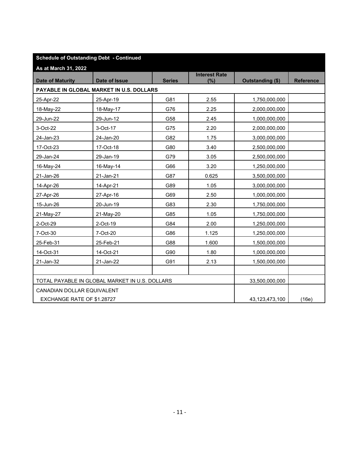| <b>Schedule of Outstanding Debt - Continued</b> |                                                |               |                             |                  |                  |
|-------------------------------------------------|------------------------------------------------|---------------|-----------------------------|------------------|------------------|
| As at March 31, 2022                            |                                                |               |                             |                  |                  |
| <b>Date of Maturity</b>                         | Date of Issue                                  | <b>Series</b> | <b>Interest Rate</b><br>(%) | Outstanding (\$) | <b>Reference</b> |
|                                                 | PAYABLE IN GLOBAL MARKET IN U.S. DOLLARS       |               |                             |                  |                  |
| 25-Apr-22                                       | 25-Apr-19                                      | G81           | 2.55                        | 1,750,000,000    |                  |
| 18-May-22                                       | 18-May-17                                      | G76           | 2.25                        | 2,000,000,000    |                  |
| 29-Jun-22                                       | 29-Jun-12                                      | G58           | 2.45                        | 1,000,000,000    |                  |
| 3-Oct-22                                        | 3-Oct-17                                       | G75           | 2.20                        | 2,000,000,000    |                  |
| 24-Jan-23                                       | 24-Jan-20                                      | G82           | 1.75                        | 3,000,000,000    |                  |
| 17-Oct-23                                       | 17-Oct-18                                      | G80           | 3.40                        | 2,500,000,000    |                  |
| 29-Jan-24                                       | 29-Jan-19                                      | G79           | 3.05                        | 2,500,000,000    |                  |
| 16-May-24                                       | 16-May-14                                      | G66           | 3.20                        | 1,250,000,000    |                  |
| 21-Jan-26                                       | 21-Jan-21                                      | G87           | 0.625                       | 3,500,000,000    |                  |
| 14-Apr-26                                       | 14-Apr-21                                      | G89           | 1.05                        | 3,000,000,000    |                  |
| 27-Apr-26                                       | 27-Apr-16                                      | G69           | 2.50                        | 1,000,000,000    |                  |
| 15-Jun-26                                       | 20-Jun-19                                      | G83           | 2.30                        | 1,750,000,000    |                  |
| 21-May-27                                       | 21-May-20                                      | G85           | 1.05                        | 1,750,000,000    |                  |
| 2-Oct-29                                        | 2-Oct-19                                       | G84           | 2.00                        | 1,250,000,000    |                  |
| 7-Oct-30                                        | 7-Oct-20                                       | G86           | 1.125                       | 1,250,000,000    |                  |
| 25-Feb-31                                       | 25-Feb-21                                      | G88           | 1.600                       | 1,500,000,000    |                  |
| 14-Oct-31                                       | 14-Oct-21                                      | G90           | 1.80                        | 1,000,000,000    |                  |
| 21-Jan-32                                       | 21-Jan-22                                      | G91           | 2.13                        | 1,500,000,000    |                  |
|                                                 |                                                |               |                             |                  |                  |
|                                                 | TOTAL PAYABLE IN GLOBAL MARKET IN U.S. DOLLARS |               |                             | 33,500,000,000   |                  |
| CANADIAN DOLLAR EQUIVALENT                      |                                                |               |                             |                  |                  |
| EXCHANGE RATE OF \$1.28727                      |                                                |               |                             | 43,123,473,100   | (16e)            |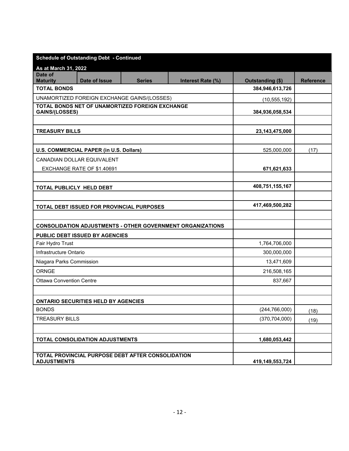|                                 | <b>Schedule of Outstanding Debt - Continued</b> |                                                   |                                                                   |                   |                  |
|---------------------------------|-------------------------------------------------|---------------------------------------------------|-------------------------------------------------------------------|-------------------|------------------|
| As at March 31, 2022            |                                                 |                                                   |                                                                   |                   |                  |
| Date of<br><b>Maturity</b>      | <b>Date of Issue</b>                            | <b>Series</b>                                     | Interest Rate (%)                                                 | Outstanding (\$)  | <b>Reference</b> |
| <b>TOTAL BONDS</b>              |                                                 |                                                   |                                                                   | 384,946,613,726   |                  |
|                                 |                                                 | UNAMORTIZED FOREIGN EXCHANGE GAINS/(LOSSES)       |                                                                   | (10, 555, 192)    |                  |
|                                 |                                                 | TOTAL BONDS NET OF UNAMORTIZED FOREIGN EXCHANGE   |                                                                   |                   |                  |
| <b>GAINS/(LOSSES)</b>           |                                                 |                                                   |                                                                   | 384,936,058,534   |                  |
|                                 |                                                 |                                                   |                                                                   |                   |                  |
| <b>TREASURY BILLS</b>           |                                                 |                                                   |                                                                   | 23, 143, 475, 000 |                  |
|                                 |                                                 |                                                   |                                                                   |                   |                  |
|                                 | U.S. COMMERCIAL PAPER (in U.S. Dollars)         |                                                   |                                                                   | 525,000,000       | (17)             |
|                                 | CANADIAN DOLLAR EQUIVALENT                      |                                                   |                                                                   |                   |                  |
|                                 | EXCHANGE RATE OF \$1.40691                      |                                                   |                                                                   | 671,621,633       |                  |
|                                 |                                                 |                                                   |                                                                   | 408,751,155,167   |                  |
| TOTAL PUBLICLY HELD DEBT        |                                                 |                                                   |                                                                   |                   |                  |
|                                 |                                                 |                                                   |                                                                   | 417,469,500,282   |                  |
|                                 | TOTAL DEBT ISSUED FOR PROVINCIAL PURPOSES       |                                                   |                                                                   |                   |                  |
|                                 |                                                 |                                                   | <b>CONSOLIDATION ADJUSTMENTS - OTHER GOVERNMENT ORGANIZATIONS</b> |                   |                  |
|                                 | PUBLIC DEBT ISSUED BY AGENCIES                  |                                                   |                                                                   |                   |                  |
| Fair Hydro Trust                |                                                 |                                                   |                                                                   | 1,764,706,000     |                  |
| Infrastructure Ontario          |                                                 |                                                   |                                                                   | 300,000,000       |                  |
| Niagara Parks Commission        |                                                 |                                                   |                                                                   | 13,471,609        |                  |
| ORNGE                           |                                                 |                                                   |                                                                   | 216,508,165       |                  |
| <b>Ottawa Convention Centre</b> |                                                 |                                                   |                                                                   | 837,667           |                  |
|                                 |                                                 |                                                   |                                                                   |                   |                  |
|                                 | <b>ONTARIO SECURITIES HELD BY AGENCIES</b>      |                                                   |                                                                   |                   |                  |
| <b>BONDS</b>                    |                                                 |                                                   |                                                                   | (244, 766, 000)   | (18)             |
| <b>TREASURY BILLS</b>           |                                                 |                                                   |                                                                   | (370, 704, 000)   | (19)             |
|                                 |                                                 |                                                   |                                                                   |                   |                  |
|                                 | TOTAL CONSOLIDATION ADJUSTMENTS                 |                                                   |                                                                   | 1,680,053,442     |                  |
|                                 |                                                 |                                                   |                                                                   |                   |                  |
| <b>ADJUSTMENTS</b>              |                                                 | TOTAL PROVINCIAL PURPOSE DEBT AFTER CONSOLIDATION |                                                                   | 419,149,553,724   |                  |
|                                 |                                                 |                                                   |                                                                   |                   |                  |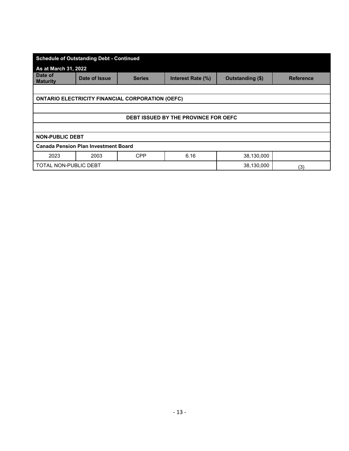| <b>Schedule of Outstanding Debt - Continued</b> |                                             |                                                         |                                             |                  |                  |  |
|-------------------------------------------------|---------------------------------------------|---------------------------------------------------------|---------------------------------------------|------------------|------------------|--|
| As at March 31, 2022                            |                                             |                                                         |                                             |                  |                  |  |
| Date of<br><b>Maturity</b>                      | Date of Issue                               | <b>Series</b>                                           | Interest Rate (%)                           | Outstanding (\$) | <b>Reference</b> |  |
|                                                 |                                             |                                                         |                                             |                  |                  |  |
|                                                 |                                             | <b>ONTARIO ELECTRICITY FINANCIAL CORPORATION (OEFC)</b> |                                             |                  |                  |  |
|                                                 |                                             |                                                         |                                             |                  |                  |  |
|                                                 |                                             |                                                         | <b>DEBT ISSUED BY THE PROVINCE FOR OEFC</b> |                  |                  |  |
|                                                 |                                             |                                                         |                                             |                  |                  |  |
| <b>NON-PUBLIC DEBT</b>                          |                                             |                                                         |                                             |                  |                  |  |
|                                                 | <b>Canada Pension Plan Investment Board</b> |                                                         |                                             |                  |                  |  |
| 2023                                            | 2003                                        | <b>CPP</b>                                              | 6.16                                        | 38,130,000       |                  |  |
| TOTAL NON-PUBLIC DEBT                           |                                             |                                                         |                                             | 38,130,000       | (3)              |  |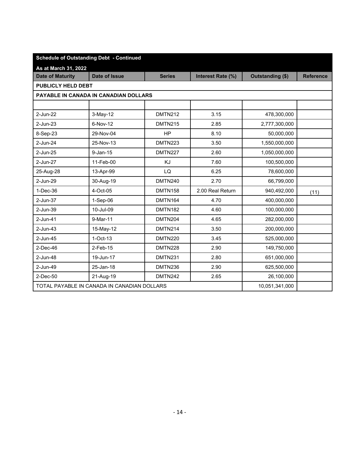|                         | <b>Schedule of Outstanding Debt - Continued</b> |                |                   |                         |                  |
|-------------------------|-------------------------------------------------|----------------|-------------------|-------------------------|------------------|
| As at March 31, 2022    |                                                 |                |                   |                         |                  |
| <b>Date of Maturity</b> | Date of Issue                                   | <b>Series</b>  | Interest Rate (%) | <b>Outstanding (\$)</b> | <b>Reference</b> |
| PUBLICLY HELD DEBT      |                                                 |                |                   |                         |                  |
|                         | PAYABLE IN CANADA IN CANADIAN DOLLARS           |                |                   |                         |                  |
|                         |                                                 |                |                   |                         |                  |
| 2-Jun-22                | $3-May-12$                                      | <b>DMTN212</b> | 3.15              | 478,300,000             |                  |
| 2-Jun-23                | 6-Nov-12                                        | <b>DMTN215</b> | 2.85              | 2,777,300,000           |                  |
| 8-Sep-23                | 29-Nov-04                                       | <b>HP</b>      | 8.10              | 50,000,000              |                  |
| 2-Jun-24                | 25-Nov-13                                       | DMTN223        | 3.50              | 1,550,000,000           |                  |
| 2-Jun-25                | $9$ -Jan-15                                     | DMTN227        | 2.60              | 1,050,000,000           |                  |
| 2-Jun-27                | 11-Feb-00                                       | KJ             | 7.60              | 100,500,000             |                  |
| 25-Aug-28               | 13-Apr-99                                       | LQ             | 6.25              | 78,600,000              |                  |
| 2-Jun-29                | 30-Aug-19                                       | <b>DMTN240</b> | 2.70              | 66,799,000              |                  |
| $1-Dec-36$              | 4-Oct-05                                        | <b>DMTN158</b> | 2.00 Real Return  | 940,492,000             | (11)             |
| 2-Jun-37                | $1-Sep-06$                                      | <b>DMTN164</b> | 4.70              | 400,000,000             |                  |
| 2-Jun-39                | 10-Jul-09                                       | <b>DMTN182</b> | 4.60              | 100,000,000             |                  |
| 2-Jun-41                | 9-Mar-11                                        | <b>DMTN204</b> | 4.65              | 282,000,000             |                  |
| $2$ -Jun-43             | 15-May-12                                       | <b>DMTN214</b> | 3.50              | 200,000,000             |                  |
| 2-Jun-45                | $1-Oct-13$                                      | <b>DMTN220</b> | 3.45              | 525,000,000             |                  |
| $2$ -Dec-46             | $2$ -Feb-15                                     | DMTN228        | 2.90              | 149,750,000             |                  |
| 2-Jun-48                | 19-Jun-17                                       | DMTN231        | 2.80              | 651,000,000             |                  |
| 2-Jun-49                | 25-Jan-18                                       | DMTN236        | 2.90              | 625,500,000             |                  |
| 2-Dec-50                | 21-Aug-19                                       | DMTN242        | 2.65              | 26,100,000              |                  |
|                         | TOTAL PAYABLE IN CANADA IN CANADIAN DOLLARS     |                |                   | 10,051,341,000          |                  |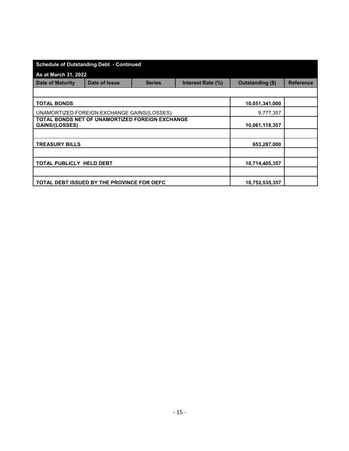| <b>Schedule of Outstanding Debt - Continued</b>                          |               |               |                   |                  |                  |
|--------------------------------------------------------------------------|---------------|---------------|-------------------|------------------|------------------|
| As at March 31, 2022                                                     |               |               |                   |                  |                  |
| <b>Date of Maturity</b>                                                  | Date of Issue | <b>Series</b> | Interest Rate (%) | Outstanding (\$) | <b>Reference</b> |
|                                                                          |               |               |                   |                  |                  |
| <b>TOTAL BONDS</b>                                                       |               |               |                   | 10,051,341,000   |                  |
| UNAMORTIZED FOREIGN EXCHANGE GAINS/(LOSSES)                              |               |               |                   | 9,777,357        |                  |
| TOTAL BONDS NET OF UNAMORTIZED FOREIGN EXCHANGE<br><b>GAINS/(LOSSES)</b> |               |               |                   | 10,061,118,357   |                  |
|                                                                          |               |               |                   |                  |                  |
| <b>TREASURY BILLS</b>                                                    |               |               |                   | 653,287,000      |                  |
|                                                                          |               |               |                   |                  |                  |
| TOTAL PUBLICLY HELD DEBT                                                 |               |               |                   | 10,714,405,357   |                  |
|                                                                          |               |               |                   |                  |                  |
| TOTAL DEBT ISSUED BY THE PROVINCE FOR OEFC                               |               |               |                   | 10,752,535,357   |                  |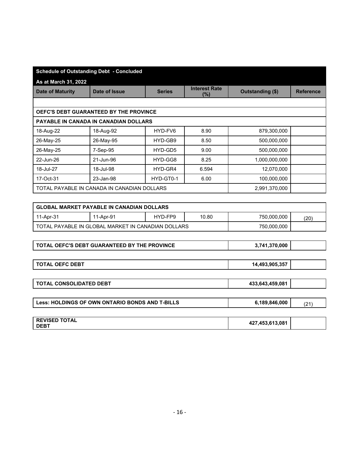|                             | <b>Schedule of Outstanding Debt - Concluded</b> |               |                                |                  |                  |
|-----------------------------|-------------------------------------------------|---------------|--------------------------------|------------------|------------------|
| <b>As at March 31, 2022</b> |                                                 |               |                                |                  |                  |
| <b>Date of Maturity</b>     | Date of Issue                                   | <b>Series</b> | <b>Interest Rate</b><br>$(\%)$ | Outstanding (\$) | <b>Reference</b> |
|                             |                                                 |               |                                |                  |                  |
|                             | <b>OEFC'S DEBT GUARANTEED BY THE PROVINCE</b>   |               |                                |                  |                  |
|                             | <b>PAYABLE IN CANADA IN CANADIAN DOLLARS</b>    |               |                                |                  |                  |
| 18-Aug-22                   | 18-Aug-92                                       | HYD-FV6       | 8.90                           | 879,300,000      |                  |
| 26-May-25                   | 26-May-95                                       | HYD-GB9       | 8.50                           | 500,000,000      |                  |
| 26-May-25                   | 7-Sep-95                                        | HYD-GD5       | 9.00                           | 500,000,000      |                  |
| 22-Jun-26                   | 21-Jun-96                                       | HYD-GG8       | 8.25                           | 1,000,000,000    |                  |
| 18-Jul-27                   | 18-Jul-98                                       | HYD-GR4       | 6.594                          | 12,070,000       |                  |
| 17-Oct-31                   | 23-Jan-98                                       | HYD-GT0-1     | 6.00                           | 100,000,000      |                  |
|                             | TOTAL PAYABLE IN CANADA IN CANADIAN DOLLARS     |               |                                | 2,991,370,000    |                  |
|                             |                                                 |               |                                |                  |                  |

|           | GLOBAL MARKET PAYABLE IN CANADIAN DOLLARS            |         |       |             |     |
|-----------|------------------------------------------------------|---------|-------|-------------|-----|
| 11-Apr-31 | 11-Apr-91                                            | HYD-FP9 | 10.80 | 750,000,000 | (20 |
|           | I TOTAL PAYABLE IN GLOBAL MARKET IN CANADIAN DOLLARS |         |       | 750,000,000 |     |

|  | <b>TOTAL OEFC'S DEBT GUARANTEED BY THE PROVINCE</b> | 3.741.370.000 |  |
|--|-----------------------------------------------------|---------------|--|
|--|-----------------------------------------------------|---------------|--|

| <b>TOTAL OEFC DEBT</b>                          | 14,493,905,357  |      |
|-------------------------------------------------|-----------------|------|
|                                                 |                 |      |
| <b>TOTAL CONSOLIDATED DEBT</b>                  | 433,643,459,081 |      |
|                                                 |                 |      |
| Less: HOLDINGS OF OWN ONTARIO BONDS AND T-BILLS | 6,189,846,000   | (21) |
|                                                 |                 |      |
|                                                 |                 |      |

| <b>REVISED TOTAL</b> |                 |  |
|----------------------|-----------------|--|
| <b>DEBT</b>          | 427,453,613,081 |  |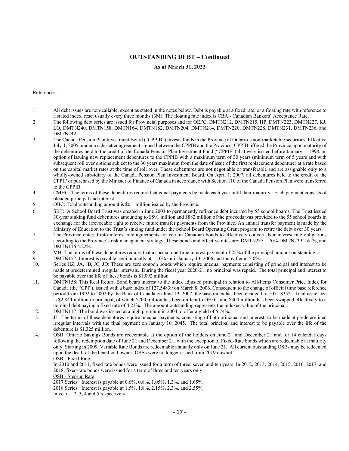## **OUTSTANDING DEBT – Continued**

### **As at March 31, 2022**

#### References:

- 1. All debt issues are non-callable, except as stated in the notes below. Debt is payable at a fixed rate, or a floating rate with reference to a stated index, reset usually every three months (3M). The floating rate index is CBA - Canadian Bankers' Acceptance Rate.
- 2. The following debt series are issued for Provincial purposes and for OEFC: DMTN212, DMTN215, HP, DMTN223, DMTN227, KJ, LQ, DMTN240, DMTN158, DMTN164, DMTN182, DMTN204, DMTN214, DMTN220, DMTN228, DMTN231, DMTN236, and DMTN<sub>242</sub>.
- 3. The Canada Pension Plan Investment Board ("CPPIB") invests funds in the Province of Ontario's non-marketable securities. Effective July 1, 2005, under a side-letter agreement signed between the CPPIB and the Province, CPPIB offered the Province upon maturity of the debentures held to the credit of the Canada Pension Plan Investment Fund ("CPPIF") that were issued before January 1, 1998, an option of issuing new replacement debentures to the CPPIB with a maximum term of 30 years (minimum term of 5 years and with subsequent roll over options subject to the 30 years maximum from the date of issue of the first replacement debenture) at a rate based on the capital market rates at the time of roll over. These debentures are not negotiable or transferable and are assignable only to a wholly-owned subsidiary of the Canada Pension Plan Investment Board. On April 1, 2007, all debentures held to the credit of the CPPIF or purchased by the Minister of Finance of Canada in accordance with Section 110 of the Canada Pension Plan were transferred to the CPPIB.
- 4. CMHC: The terms of these debentures require that equal payments be made each year until their maturity. Each payment consists of blended principal and interest.
- 5. OIIC: Total outstanding amount is \$0.1 million issued by the Province.
- 6. SBT: A School Board Trust was created in June 2003 to permanently refinance debt incurred by 55 school boards. The Trust issued 30-year sinking fund debentures amounting to \$891 million and \$882 million of the proceeds was provided to the 55 school boards in exchange for the irrevocable right to receive future transfer payments from the Province. An annual transfer payment is made by the Ministry of Education to the Trust's sinking fund under the School Board Operating Grant program to retire the debt over 30 years.
- 7. The Province entered into interest rate agreements for certain Canadian bonds to effectively convert their interest rate obligations according to the Province's risk management strategy. These bonds and effective rates are: DMTN235 1.70% DMTN239 2.61%, and DMTN116 4.22%.
- 8. MH: The terms of these debentures require that a special one-time interest payment of 25% of the principal amount outstanding.
- 9. DMTN157: Interest is payable semi-annually at 15.0% until January 13, 2006 and thereafter at 5.0%.
- 10. Series HZ, JA, JB, JC, JD: These are zero coupon bonds which require unequal payments consisting of principal and interest to be made at predetermined irregular intervals. During the fiscal year 2020-21, no principal was repaid. The total principal and interest to be payable over the life of these bonds is \$1,092 million.
- 11. DMTN158: This Real Return Bond bears interest to the index adjusted principal in relation to All-Items Consumer Price Index for Canada (the "CPI"), issued with a base index of 127.54839 on March 8, 2006. Consequent to the change of official time base reference period from 1992 to 2002 by the Bank of Canada on June 19, 2007, the base index has been changed to 107.18352. Total issue size is \$2,844 million in principal, of which \$700 million has been on-lent to OEFC, and \$300 million has been swapped effectively to a nominal debt paying a fixed rate of 4.23%. The amount outstanding represents the indexed value of the principal.
- 12. DMTN117: The bond was issued at a high premium in 2004 to offer a yield of 5.74%.
- debenture is \$1,325 million. 13. JL: The terms of these debentures require unequal payments, consisting of both principal and interest, to be made at predetermined irregular intervals with the final payment on January 10, 2045. The total principal and interest to be payable over the life of the
- 14. OSB: Ontario Savings Bonds are redeemable at the option of the holders on June 21 and December 21 and for 14 calendar days following the redemption date of June 21 and December 21, with the exception of Fixed-Rate bonds which are redeemable at maturity only. Starting in 2009, Variable Rate Bonds are redeemable annually only on June 21. All current outstanding OSBs may be redeemed upon the death of the beneficial owner. OSBs were no longer issued from 2019 onward. OSB - Fixed Rate:

In 2010 and 2011, fixed rate bonds were issued for a term of three, seven and ten years. In 2012, 2013, 2014, 2015, 2016, 2017, and 2018, fixed-rate bonds were issued for a term of three and ten years only.

OSB - Step-up Rate:

2017 Series: Interest is payable at 0.6%, 0.8%, 1.05%, 1.3%, and 1.65%,

2018 Series: Interest is payable at 1.5%, 1.8%, 2.15%, 2.3%, and 2.55%,

in year 1, 2, 3, 4 and 5 respectively.